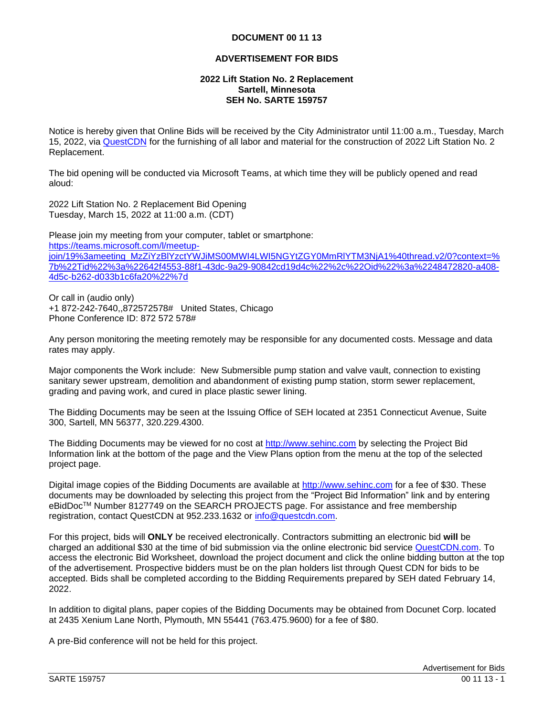## **DOCUMENT 00 11 13**

## **ADVERTISEMENT FOR BIDS**

## **2022 Lift Station No. 2 Replacement Sartell, Minnesota SEH No. SARTE 159757**

Notice is hereby given that Online Bids will be received by the City Administrator until 11:00 a.m., Tuesday, March 15, 2022, via [QuestCDN](https://www.questcdn.com/) for the furnishing of all labor and material for the construction of 2022 Lift Station No. 2 Replacement.

The bid opening will be conducted via Microsoft Teams, at which time they will be publicly opened and read aloud:

2022 Lift Station No. 2 Replacement Bid Opening Tuesday, March 15, 2022 at 11:00 a.m. (CDT)

Please join my meeting from your computer, tablet or smartphone: [https://teams.microsoft.com/l/meetup](https://teams.microsoft.com/l/meetup-join/19%3ameeting_MzZiYzBlYzctYWJiMS00MWI4LWI5NGYtZGY0MmRlYTM3NjA1%40thread.v2/0?context=%7b%22Tid%22%3a%22642f4553-88f1-43dc-9a29-90842cd19d4c%22%2c%22Oid%22%3a%2248472820-a408-4d5c-b262-d033b1c6fa20%22%7d)[join/19%3ameeting\\_MzZiYzBlYzctYWJiMS00MWI4LWI5NGYtZGY0MmRlYTM3NjA1%40thread.v2/0?context=%](https://teams.microsoft.com/l/meetup-join/19%3ameeting_MzZiYzBlYzctYWJiMS00MWI4LWI5NGYtZGY0MmRlYTM3NjA1%40thread.v2/0?context=%7b%22Tid%22%3a%22642f4553-88f1-43dc-9a29-90842cd19d4c%22%2c%22Oid%22%3a%2248472820-a408-4d5c-b262-d033b1c6fa20%22%7d) [7b%22Tid%22%3a%22642f4553-88f1-43dc-9a29-90842cd19d4c%22%2c%22Oid%22%3a%2248472820-a408-](https://teams.microsoft.com/l/meetup-join/19%3ameeting_MzZiYzBlYzctYWJiMS00MWI4LWI5NGYtZGY0MmRlYTM3NjA1%40thread.v2/0?context=%7b%22Tid%22%3a%22642f4553-88f1-43dc-9a29-90842cd19d4c%22%2c%22Oid%22%3a%2248472820-a408-4d5c-b262-d033b1c6fa20%22%7d) [4d5c-b262-d033b1c6fa20%22%7d](https://teams.microsoft.com/l/meetup-join/19%3ameeting_MzZiYzBlYzctYWJiMS00MWI4LWI5NGYtZGY0MmRlYTM3NjA1%40thread.v2/0?context=%7b%22Tid%22%3a%22642f4553-88f1-43dc-9a29-90842cd19d4c%22%2c%22Oid%22%3a%2248472820-a408-4d5c-b262-d033b1c6fa20%22%7d)

Or call in (audio only) +1 872-242-7640,,872572578# United States, Chicago Phone Conference ID: 872 572 578#

Any person monitoring the meeting remotely may be responsible for any documented costs. Message and data rates may apply.

Major components the Work include: New Submersible pump station and valve vault, connection to existing sanitary sewer upstream, demolition and abandonment of existing pump station, storm sewer replacement, grading and paving work, and cured in place plastic sewer lining.

The Bidding Documents may be seen at the Issuing Office of SEH located at 2351 Connecticut Avenue, Suite 300, Sartell, MN 56377, 320.229.4300.

The Bidding Documents may be viewed for no cost at [http://www.sehinc.com](http://www.sehinc.com/) by selecting the Project Bid Information link at the bottom of the page and the View Plans option from the menu at the top of the selected project page.

Digital image copies of the Bidding Documents are available at [http://www.sehinc.com](http://www.sehinc.com/) for a fee of \$30. These documents may be downloaded by selecting this project from the "Project Bid Information" link and by entering eBidDoc<sup>™</sup> Number 8127749 on the SEARCH PROJECTS page. For assistance and free membership registration, contact QuestCDN at 952.233.1632 or [info@questcdn.com.](mailto:info@questcdn.com)

For this project, bids will **ONLY** be received electronically. Contractors submitting an electronic bid **will** be charged an additional \$30 at the time of bid submission via the online electronic bid service [QuestCDN.com.](https://www.questcdn.com/) To access the electronic Bid Worksheet, download the project document and click the online bidding button at the top of the advertisement. Prospective bidders must be on the plan holders list through Quest CDN for bids to be accepted. Bids shall be completed according to the Bidding Requirements prepared by SEH dated February 14, 2022.

In addition to digital plans, paper copies of the Bidding Documents may be obtained from Docunet Corp. located at 2435 Xenium Lane North, Plymouth, MN 55441 (763.475.9600) for a fee of \$80.

A pre-Bid conference will not be held for this project.